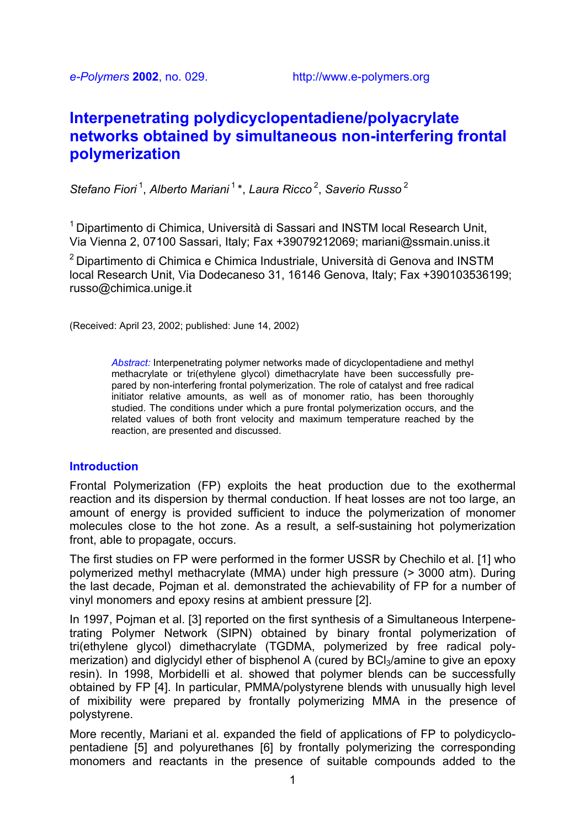*e-Polymers* **2002**, no. 029. http://www.e-polymers.org

# **Interpenetrating polydicyclopentadiene/polyacrylate networks obtained by simultaneous non-interfering frontal polymerization**

*Stefano Fiori* 1, *Alberto Mariani* 1 \*, *Laura Ricco* 2, *Saverio Russo*<sup>2</sup>

 $1$  Dipartimento di Chimica, Università di Sassari and INSTM local Research Unit, Via Vienna 2, 07100 Sassari, Italy; Fax +39079212069; mariani@ssmain.uniss.it

 $2$  Dipartimento di Chimica e Chimica Industriale, Università di Genova and INSTM local Research Unit, Via Dodecaneso 31, 16146 Genova, Italy; Fax +390103536199; russo@chimica.unige.it

(Received: April 23, 2002; published: June 14, 2002)

*Abstract:* Interpenetrating polymer networks made of dicyclopentadiene and methyl methacrylate or tri(ethylene glycol) dimethacrylate have been successfully prepared by non-interfering frontal polymerization. The role of catalyst and free radical initiator relative amounts, as well as of monomer ratio, has been thoroughly studied. The conditions under which a pure frontal polymerization occurs, and the related values of both front velocity and maximum temperature reached by the reaction, are presented and discussed.

#### **Introduction**

Frontal Polymerization (FP) exploits the heat production due to the exothermal reaction and its dispersion by thermal conduction. If heat losses are not too large, an amount of energy is provided sufficient to induce the polymerization of monomer molecules close to the hot zone. As a result, a self-sustaining hot polymerization front, able to propagate, occurs.

The first studies on FP were performed in the former USSR by Chechilo et al. [1] who polymerized methyl methacrylate (MMA) under high pressure (> 3000 atm). During the last decade, Pojman et al. demonstrated the achievability of FP for a number of vinyl monomers and epoxy resins at ambient pressure [2].

In 1997, Pojman et al. [3] reported on the first synthesis of a Simultaneous Interpenetrating Polymer Network (SIPN) obtained by binary frontal polymerization of tri(ethylene glycol) dimethacrylate (TGDMA, polymerized by free radical polymerization) and diglycidyl ether of bisphenol A (cured by  $BCI<sub>3</sub>/amine$  to give an epoxy resin). In 1998, Morbidelli et al. showed that polymer blends can be successfully obtained by FP [4]. In particular, PMMA/polystyrene blends with unusually high level of mixibility were prepared by frontally polymerizing MMA in the presence of polystyrene.

More recently, Mariani et al. expanded the field of applications of FP to polydicyclopentadiene [5] and polyurethanes [6] by frontally polymerizing the corresponding monomers and reactants in the presence of suitable compounds added to the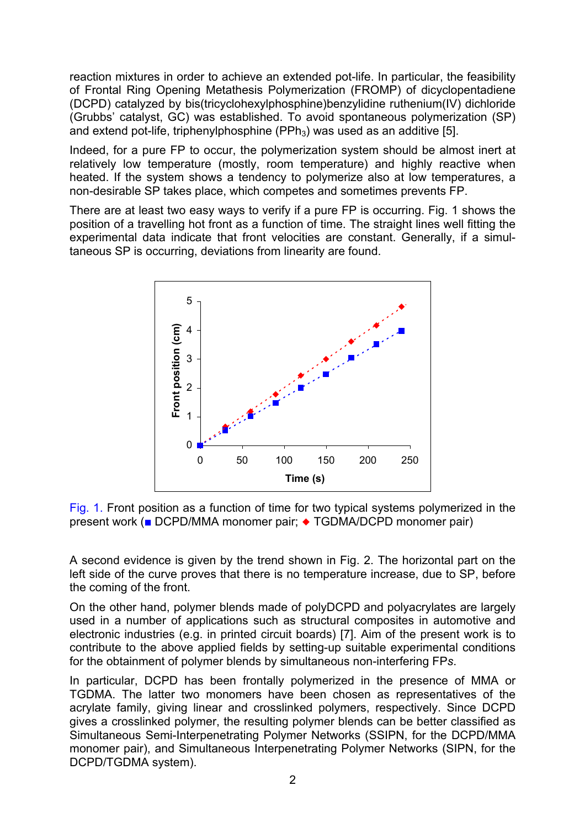reaction mixtures in order to achieve an extended pot-life. In particular, the feasibility of Frontal Ring Opening Metathesis Polymerization (FROMP) of dicyclopentadiene (DCPD) catalyzed by bis(tricyclohexylphosphine)benzylidine ruthenium(IV) dichloride (Grubbs' catalyst, GC) was established. To avoid spontaneous polymerization (SP) and extend pot-life, triphenylphosphine ( $PPh<sub>3</sub>$ ) was used as an additive [5].

Indeed, for a pure FP to occur, the polymerization system should be almost inert at relatively low temperature (mostly, room temperature) and highly reactive when heated. If the system shows a tendency to polymerize also at low temperatures, a non-desirable SP takes place, which competes and sometimes prevents FP.

There are at least two easy ways to verify if a pure FP is occurring. Fig. 1 shows the position of a travelling hot front as a function of time. The straight lines well fitting the experimental data indicate that front velocities are constant. Generally, if a simultaneous SP is occurring, deviations from linearity are found.



Fig. 1. Front position as a function of time for two typical systems polymerized in the present work (■ DCPD/MMA monomer pair; ◆ TGDMA/DCPD monomer pair)

A second evidence is given by the trend shown in Fig. 2. The horizontal part on the left side of the curve proves that there is no temperature increase, due to SP, before the coming of the front.

On the other hand, polymer blends made of polyDCPD and polyacrylates are largely used in a number of applications such as structural composites in automotive and electronic industries (e.g. in printed circuit boards) [7]. Aim of the present work is to contribute to the above applied fields by setting-up suitable experimental conditions for the obtainment of polymer blends by simultaneous non-interfering FP*s*.

In particular, DCPD has been frontally polymerized in the presence of MMA or TGDMA. The latter two monomers have been chosen as representatives of the acrylate family, giving linear and crosslinked polymers, respectively. Since DCPD gives a crosslinked polymer, the resulting polymer blends can be better classified as Simultaneous Semi-Interpenetrating Polymer Networks (SSIPN, for the DCPD/MMA monomer pair), and Simultaneous Interpenetrating Polymer Networks (SIPN, for the DCPD/TGDMA system).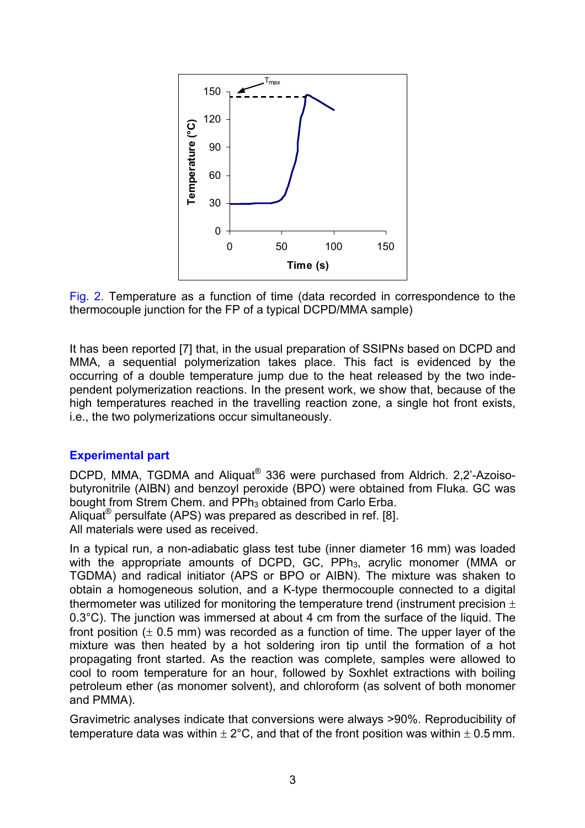

Fig. 2. Temperature as a function of time (data recorded in correspondence to the thermocouple junction for the FP of a typical DCPD/MMA sample)

It has been reported [7] that, in the usual preparation of SSIPN*s* based on DCPD and MMA, a sequential polymerization takes place. This fact is evidenced by the occurring of a double temperature jump due to the heat released by the two independent polymerization reactions. In the present work, we show that, because of the high temperatures reached in the travelling reaction zone, a single hot front exists, i.e., the two polymerizations occur simultaneously.

## **Experimental part**

DCPD, MMA, TGDMA and Aliquat<sup>®</sup> 336 were purchased from Aldrich. 2,2'-Azoisobutyronitrile (AIBN) and benzoyl peroxide (BPO) were obtained from Fluka. GC was bought from Strem Chem. and PPh<sub>3</sub> obtained from Carlo Erba. Aliquat® persulfate (APS) was prepared as described in ref. [8]. All materials were used as received.

In a typical run, a non-adiabatic glass test tube (inner diameter 16 mm) was loaded with the appropriate amounts of DCPD, GC, PPh<sub>3</sub>, acrylic monomer (MMA or TGDMA) and radical initiator (APS or BPO or AIBN). The mixture was shaken to obtain a homogeneous solution, and a K-type thermocouple connected to a digital thermometer was utilized for monitoring the temperature trend (instrument precision  $\pm$ 0.3°C). The junction was immersed at about 4 cm from the surface of the liquid. The front position ( $\pm$  0.5 mm) was recorded as a function of time. The upper layer of the mixture was then heated by a hot soldering iron tip until the formation of a hot propagating front started. As the reaction was complete, samples were allowed to cool to room temperature for an hour, followed by Soxhlet extractions with boiling petroleum ether (as monomer solvent), and chloroform (as solvent of both monomer and PMMA).

Gravimetric analyses indicate that conversions were always >90%. Reproducibility of temperature data was within  $\pm 2^{\circ}$ C, and that of the front position was within  $\pm 0.5$  mm.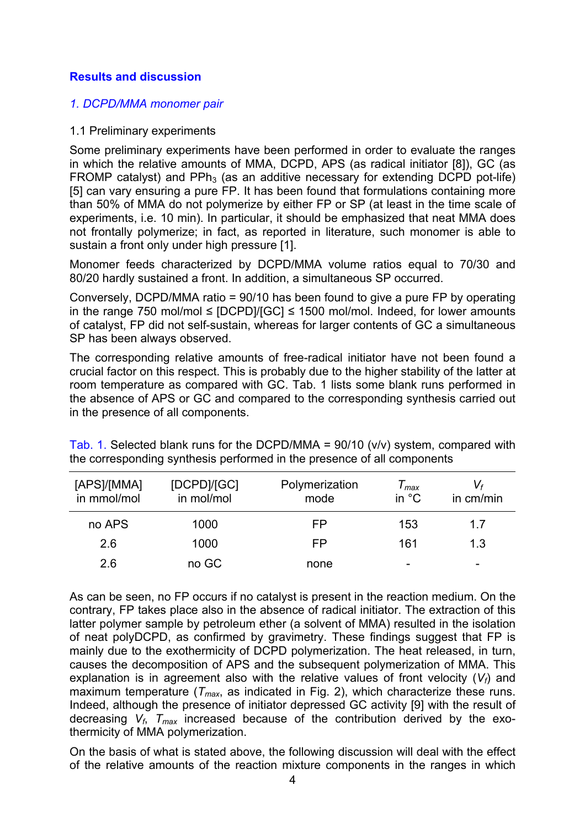## **Results and discussion**

#### *1. DCPD/MMA monomer pair*

#### 1.1 Preliminary experiments

Some preliminary experiments have been performed in order to evaluate the ranges in which the relative amounts of MMA, DCPD, APS (as radical initiator [8]), GC (as FROMP catalyst) and  $PPh_3$  (as an additive necessary for extending DCPD pot-life) [5] can vary ensuring a pure FP. It has been found that formulations containing more than 50% of MMA do not polymerize by either FP or SP (at least in the time scale of experiments, i.e. 10 min). In particular, it should be emphasized that neat MMA does not frontally polymerize; in fact, as reported in literature, such monomer is able to sustain a front only under high pressure [1].

Monomer feeds characterized by DCPD/MMA volume ratios equal to 70/30 and 80/20 hardly sustained a front. In addition, a simultaneous SP occurred.

Conversely, DCPD/MMA ratio = 90/10 has been found to give a pure FP by operating in the range 750 mol/mol ≤ [DCPD]/[GC] ≤ 1500 mol/mol. Indeed, for lower amounts of catalyst, FP did not self-sustain, whereas for larger contents of GC a simultaneous SP has been always observed.

The corresponding relative amounts of free-radical initiator have not been found a crucial factor on this respect. This is probably due to the higher stability of the latter at room temperature as compared with GC. Tab. 1 lists some blank runs performed in the absence of APS or GC and compared to the corresponding synthesis carried out in the presence of all components.

| [APS]/[MMA]<br>in mmol/mol | [DCPD]/[GC]<br>in mol/mol | Polymerization<br>mode | l max<br>in $^{\circ}$ C | in cm/min |
|----------------------------|---------------------------|------------------------|--------------------------|-----------|
| no APS                     | 1000                      | FP                     | 153                      | 17        |
| 2.6                        | 1000                      | FP                     | 161                      | 1.3       |
| 2.6                        | no GC                     | none                   |                          | -         |

Tab. 1. Selected blank runs for the DCPD/MMA =  $90/10$  (v/v) system, compared with the corresponding synthesis performed in the presence of all components

As can be seen, no FP occurs if no catalyst is present in the reaction medium. On the contrary, FP takes place also in the absence of radical initiator. The extraction of this latter polymer sample by petroleum ether (a solvent of MMA) resulted in the isolation of neat polyDCPD, as confirmed by gravimetry. These findings suggest that FP is mainly due to the exothermicity of DCPD polymerization. The heat released, in turn, causes the decomposition of APS and the subsequent polymerization of MMA. This explanation is in agreement also with the relative values of front velocity (*Vf*) and maximum temperature ( $T_{max}$ , as indicated in Fig. 2), which characterize these runs. Indeed, although the presence of initiator depressed GC activity [9] with the result of decreasing  $V_f$ ,  $T_{max}$  increased because of the contribution derived by the exothermicity of MMA polymerization.

On the basis of what is stated above, the following discussion will deal with the effect of the relative amounts of the reaction mixture components in the ranges in which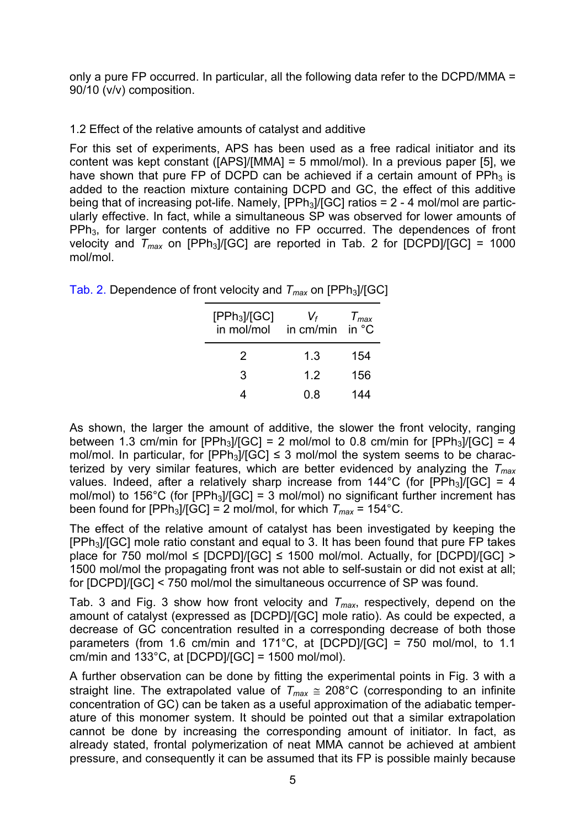only a pure FP occurred. In particular, all the following data refer to the DCPD/MMA = 90/10 (v/v) composition.

## 1.2 Effect of the relative amounts of catalyst and additive

For this set of experiments, APS has been used as a free radical initiator and its content was kept constant ([APS]/[MMA] = 5 mmol/mol). In a previous paper [5], we have shown that pure FP of DCPD can be achieved if a certain amount of  $PPh<sub>3</sub>$  is added to the reaction mixture containing DCPD and GC, the effect of this additive being that of increasing pot-life. Namely,  $[PPh_3]/[GC]$  ratios = 2 - 4 mol/mol are particularly effective. In fact, while a simultaneous SP was observed for lower amounts of PPh3, for larger contents of additive no FP occurred. The dependences of front velocity and  $T_{max}$  on [PPh<sub>3</sub>]/[GC] are reported in Tab. 2 for [DCPD]/[GC] = 1000 mol/mol.

| Tab. 2. Dependence of front velocity and $T_{max}$ on [PPh <sub>3</sub> ]/[GC] |  |
|--------------------------------------------------------------------------------|--|
|--------------------------------------------------------------------------------|--|

| $V_f$<br>in cm/min | $T_{max}$<br>in $^{\circ}$ C |
|--------------------|------------------------------|
| 1.3                | 154                          |
| 1.2                | 156                          |
| 0.8                | 144                          |
|                    |                              |

As shown, the larger the amount of additive, the slower the front velocity, ranging between 1.3 cm/min for  $[PPh_3]/[GC] = 2$  mol/mol to 0.8 cm/min for  $[PPh_3]/[GC] = 4$ mol/mol. In particular, for  $[PPh_3]/[GC] \leq 3$  mol/mol the system seems to be characterized by very similar features, which are better evidenced by analyzing the *Tmax* values. Indeed, after a relatively sharp increase from  $144^{\circ}$ C (for [PPh<sub>3</sub>]/[GC] = 4 mol/mol) to 156°C (for  $[PPh_3]/[GC] = 3$  mol/mol) no significant further increment has been found for  $[PPh_3]/[GC] = 2$  mol/mol, for which  $T_{max} = 154^{\circ}$ C.

The effect of the relative amount of catalyst has been investigated by keeping the [PPh3]/[GC] mole ratio constant and equal to 3. It has been found that pure FP takes place for 750 mol/mol ≤ [DCPD]/[GC] ≤ 1500 mol/mol. Actually, for [DCPD]/[GC] > 1500 mol/mol the propagating front was not able to self-sustain or did not exist at all; for [DCPD]/[GC] < 750 mol/mol the simultaneous occurrence of SP was found.

Tab. 3 and Fig. 3 show how front velocity and  $T_{max}$ , respectively, depend on the amount of catalyst (expressed as [DCPD]/[GC] mole ratio). As could be expected, a decrease of GC concentration resulted in a corresponding decrease of both those parameters (from 1.6 cm/min and 171°C, at [DCPD]/[GC] = 750 mol/mol, to 1.1 cm/min and  $133^{\circ}$ C, at [DCPD]/[GC] = 1500 mol/mol).

A further observation can be done by fitting the experimental points in Fig. 3 with a straight line. The extrapolated value of  $T_{max} \approx 208^{\circ}$ C (corresponding to an infinite concentration of GC) can be taken as a useful approximation of the adiabatic temperature of this monomer system. It should be pointed out that a similar extrapolation cannot be done by increasing the corresponding amount of initiator. In fact, as already stated, frontal polymerization of neat MMA cannot be achieved at ambient pressure, and consequently it can be assumed that its FP is possible mainly because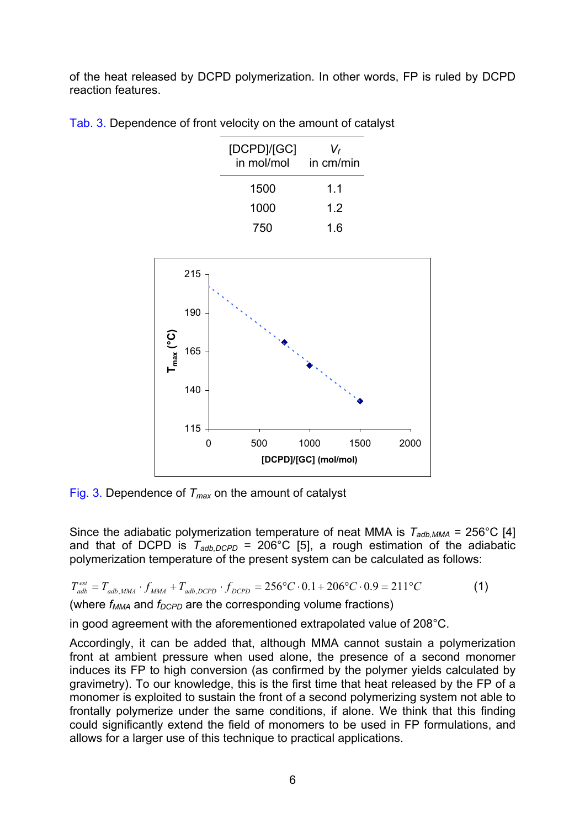of the heat released by DCPD polymerization. In other words, FP is ruled by DCPD reaction features.

|  |  |  | Tab. 3. Dependence of front velocity on the amount of catalyst |  |
|--|--|--|----------------------------------------------------------------|--|
|  |  |  |                                                                |  |

| [DCPD]/[GC]<br>in mol/mol | Vł<br>in cm/min |
|---------------------------|-----------------|
| 1500                      | 1.1             |
| 1000                      | 12              |
| 750                       | 1 6             |



Fig. 3. Dependence of *Tmax* on the amount of catalyst

Since the adiabatic polymerization temperature of neat MMA is  $T_{\text{adb.MMA}} = 256^{\circ}$ C [4] and that of DCPD is  $T_{adb,DCPD}$  = 206°C [5], a rough estimation of the adiabatic polymerization temperature of the present system can be calculated as follows:

 $T_{\text{adb}}^{\text{est}} = T_{\text{adb,MMA}} \cdot f_{\text{MMA}} + T_{\text{adb, DCPD}} \cdot f_{\text{DCPD}} = 256^{\circ}C \cdot 0.1 + 206^{\circ}C \cdot 0.9 = 211^{\circ}C$  (1)

(where  $f_{MMA}$  and  $f_{DCPD}$  are the corresponding volume fractions)

in good agreement with the aforementioned extrapolated value of 208°C.

Accordingly, it can be added that, although MMA cannot sustain a polymerization front at ambient pressure when used alone, the presence of a second monomer induces its FP to high conversion (as confirmed by the polymer yields calculated by gravimetry). To our knowledge, this is the first time that heat released by the FP of a monomer is exploited to sustain the front of a second polymerizing system not able to frontally polymerize under the same conditions, if alone. We think that this finding could significantly extend the field of monomers to be used in FP formulations, and allows for a larger use of this technique to practical applications.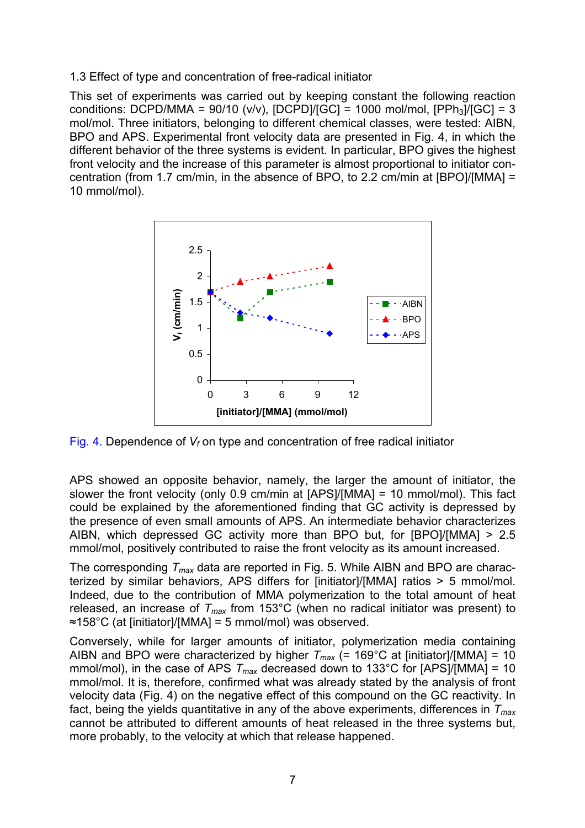## 1.3 Effect of type and concentration of free-radical initiator

This set of experiments was carried out by keeping constant the following reaction conditions: DCPD/MMA =  $90/10$  (v/v), [DCPD]/[GC] = 1000 mol/mol, [PPh<sub>3</sub>]/[GC] = 3 mol/mol. Three initiators, belonging to different chemical classes, were tested: AIBN, BPO and APS. Experimental front velocity data are presented in Fig. 4, in which the different behavior of the three systems is evident. In particular, BPO gives the highest front velocity and the increase of this parameter is almost proportional to initiator concentration (from 1.7 cm/min, in the absence of BPO, to 2.2 cm/min at [BPO]/[MMA] = 10 mmol/mol).



Fig. 4. Dependence of *Vf* on type and concentration of free radical initiator

APS showed an opposite behavior, namely, the larger the amount of initiator, the slower the front velocity (only 0.9 cm/min at [APS]/[MMA] = 10 mmol/mol). This fact could be explained by the aforementioned finding that GC activity is depressed by the presence of even small amounts of APS. An intermediate behavior characterizes AIBN, which depressed GC activity more than BPO but, for [BPO]/[MMA] > 2.5 mmol/mol, positively contributed to raise the front velocity as its amount increased.

The corresponding *Tmax* data are reported in Fig. 5. While AIBN and BPO are characterized by similar behaviors, APS differs for [initiator]/[MMA] ratios > 5 mmol/mol. Indeed, due to the contribution of MMA polymerization to the total amount of heat released, an increase of *Tmax* from 153°C (when no radical initiator was present) to ≈158°C (at [initiator]/[MMA] = 5 mmol/mol) was observed.

Conversely, while for larger amounts of initiator, polymerization media containing AIBN and BPO were characterized by higher  $T_{max}$  (= 169°C at [initiator]/[MMA] = 10 mmol/mol), in the case of APS  $T_{max}$  decreased down to 133°C for [APS]/[MMA] = 10 mmol/mol. It is, therefore, confirmed what was already stated by the analysis of front velocity data (Fig. 4) on the negative effect of this compound on the GC reactivity. In fact, being the yields quantitative in any of the above experiments, differences in *Tmax* cannot be attributed to different amounts of heat released in the three systems but, more probably, to the velocity at which that release happened.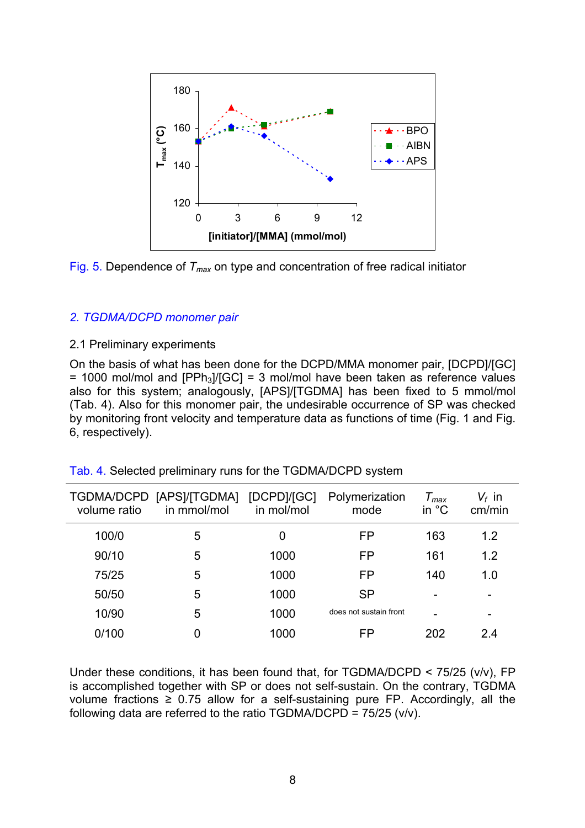



#### *2. TGDMA/DCPD monomer pair*

#### 2.1 Preliminary experiments

On the basis of what has been done for the DCPD/MMA monomer pair, [DCPD]/[GC]  $= 1000$  mol/mol and  $[PPh_3]/[GC] = 3$  mol/mol have been taken as reference values also for this system; analogously, [APS]/[TGDMA] has been fixed to 5 mmol/mol (Tab. 4). Also for this monomer pair, the undesirable occurrence of SP was checked by monitoring front velocity and temperature data as functions of time (Fig. 1 and Fig. 6, respectively).

| TGDMA/DCPD<br>volume ratio | [APS]/[TGDMA]<br>in mmol/mol | [DCPD]/[GC]<br>in mol/mol | Polymerization<br>mode | $\mathcal{T}_{max}$<br>in °C | $V_f$ in<br>cm/min |
|----------------------------|------------------------------|---------------------------|------------------------|------------------------------|--------------------|
| 100/0                      | 5                            | 0                         | FP                     | 163                          | 1.2                |
| 90/10                      | 5                            | 1000                      | FP                     | 161                          | 1.2                |
| 75/25                      | 5                            | 1000                      | FP                     | 140                          | 1.0                |
| 50/50                      | 5                            | 1000                      | <b>SP</b>              |                              |                    |
| 10/90                      | 5                            | 1000                      | does not sustain front |                              |                    |
| 0/100                      | O                            | 1000                      | FP                     | 202                          | 24                 |

| Tab. 4. Selected preliminary runs for the TGDMA/DCPD system |  |  |  |  |  |
|-------------------------------------------------------------|--|--|--|--|--|
|-------------------------------------------------------------|--|--|--|--|--|

Under these conditions, it has been found that, for TGDMA/DCPD < 75/25 (v/v), FP is accomplished together with SP or does not self-sustain. On the contrary, TGDMA volume fractions  $\geq$  0.75 allow for a self-sustaining pure FP. Accordingly, all the following data are referred to the ratio TGDMA/DCPD = 75/25 (v/v).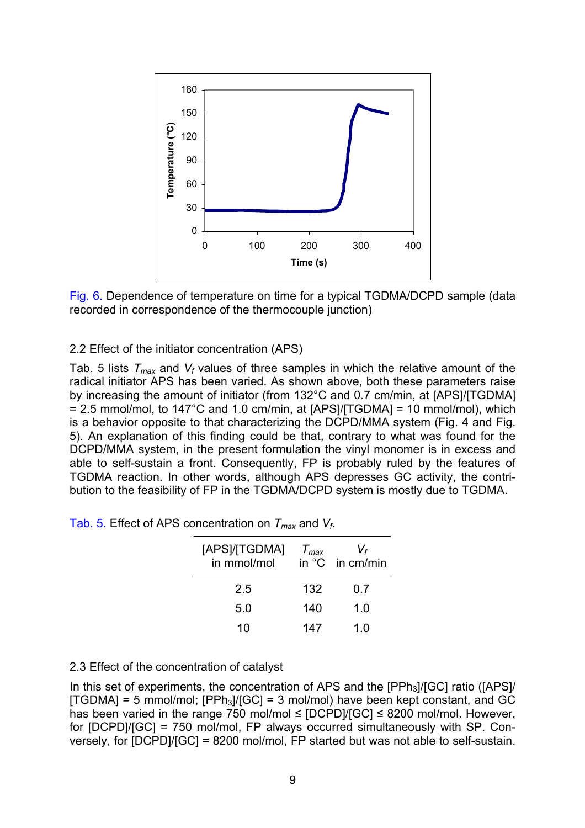



## 2.2 Effect of the initiator concentration (APS)

Tab. 5 lists *Tmax* and *Vf* values of three samples in which the relative amount of the radical initiator APS has been varied. As shown above, both these parameters raise by increasing the amount of initiator (from 132°C and 0.7 cm/min, at [APS]/[TGDMA]  $= 2.5$  mmol/mol, to 147°C and 1.0 cm/min, at [APS]/[TGDMA] = 10 mmol/mol), which is a behavior opposite to that characterizing the DCPD/MMA system (Fig. 4 and Fig. 5). An explanation of this finding could be that, contrary to what was found for the DCPD/MMA system, in the present formulation the vinyl monomer is in excess and able to self-sustain a front. Consequently, FP is probably ruled by the features of TGDMA reaction. In other words, although APS depresses GC activity, the contribution to the feasibility of FP in the TGDMA/DCPD system is mostly due to TGDMA.

| [APS]/[TGDMA]<br>in mmol/mol | $T_{max}$ | Vf<br>in ${}^{\circ}$ C in cm/min |
|------------------------------|-----------|-----------------------------------|
| 25                           | 132       | 0.7                               |
| 5.0                          | 140       | 1.0                               |
| 10                           | 147       |                                   |

Tab. 5. Effect of APS concentration on *Tmax* and *Vf*.

## 2.3 Effect of the concentration of catalyst

In this set of experiments, the concentration of APS and the  $[PPh<sub>3</sub>]/[GC]$  ratio ( $[APS]$  $[TGDMA] = 5 mmol/mol$ ;  $[PPh_3]/[GC] = 3 mol/mol$  have been kept constant, and GC has been varied in the range 750 mol/mol  $\leq$  [DCPD]/[GC]  $\leq$  8200 mol/mol. However, for [DCPD]/[GC] = 750 mol/mol, FP always occurred simultaneously with SP. Conversely, for [DCPD]/[GC] = 8200 mol/mol, FP started but was not able to self-sustain.